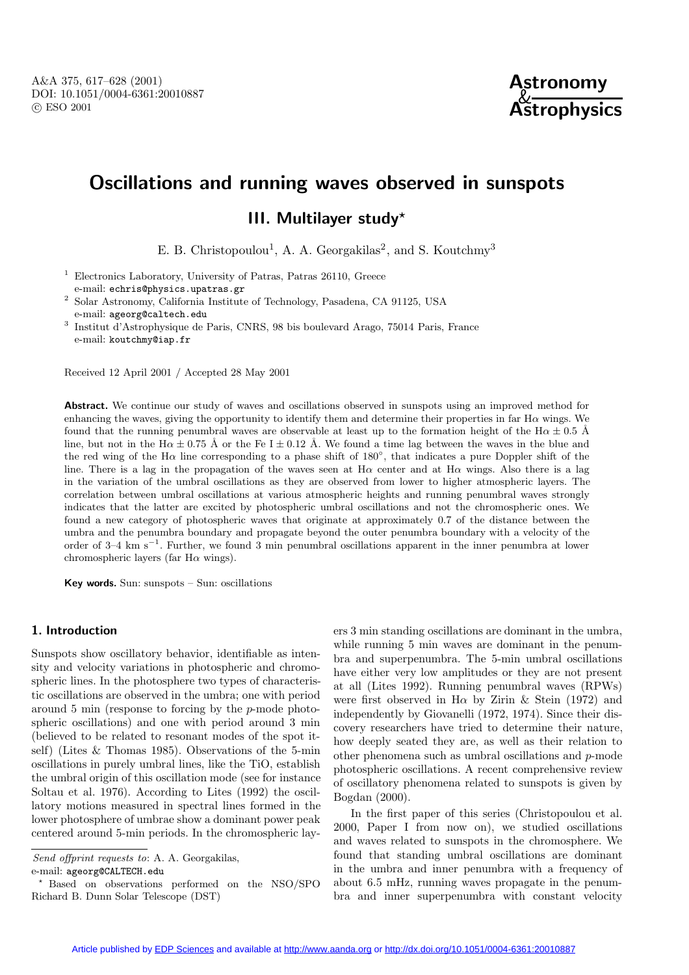

# **Oscillations and running waves observed in sunspots**

## **III. Multilayer study***?*

E. B. Christopoulou<sup>1</sup>, A. A. Georgakilas<sup>2</sup>, and S. Koutchmy<sup>3</sup>

<sup>1</sup> Electronics Laboratory, University of Patras, Patras 26110, Greece e-mail: echris@physics.upatras.gr

<sup>2</sup> Solar Astronomy, California Institute of Technology, Pasadena, CA 91125, USA e-mail: ageorg@caltech.edu

<sup>3</sup> Institut d'Astrophysique de Paris, CNRS, 98 bis boulevard Arago, 75014 Paris, France e-mail: koutchmy@iap.fr

Received 12 April 2001 / Accepted 28 May 2001

**Abstract.** We continue our study of waves and oscillations observed in sunspots using an improved method for enhancing the waves, giving the opportunity to identify them and determine their properties in far H $\alpha$  wings. We found that the running penumbral waves are observable at least up to the formation height of the H $\alpha \pm 0.5$  Å line, but not in the H $\alpha \pm 0.75$  Å or the Fe I  $\pm$  0.12 Å. We found a time lag between the waves in the blue and the red wing of the H $\alpha$  line corresponding to a phase shift of 180 $\degree$ , that indicates a pure Doppler shift of the line. There is a lag in the propagation of the waves seen at  $H\alpha$  center and at  $H\alpha$  wings. Also there is a lag in the variation of the umbral oscillations as they are observed from lower to higher atmospheric layers. The correlation between umbral oscillations at various atmospheric heights and running penumbral waves strongly indicates that the latter are excited by photospheric umbral oscillations and not the chromospheric ones. We found a new category of photospheric waves that originate at approximately 0.7 of the distance between the umbra and the penumbra boundary and propagate beyond the outer penumbra boundary with a velocity of the order of 3–4 km s−<sup>1</sup>. Further, we found 3 min penumbral oscillations apparent in the inner penumbra at lower chromospheric layers (far  $H\alpha$  wings).

**Key words.** Sun: sunspots – Sun: oscillations

### **1. Introduction**

Sunspots show oscillatory behavior, identifiable as intensity and velocity variations in photospheric and chromospheric lines. In the photosphere two types of characteristic oscillations are observed in the umbra; one with period around 5 min (response to forcing by the p-mode photospheric oscillations) and one with period around 3 min (believed to be related to resonant modes of the spot itself) (Lites & Thomas 1985). Observations of the 5-min oscillations in purely umbral lines, like the TiO, establish the umbral origin of this oscillation mode (see for instance Soltau et al. 1976). According to Lites (1992) the oscillatory motions measured in spectral lines formed in the lower photosphere of umbrae show a dominant power peak centered around 5-min periods. In the chromospheric layers 3 min standing oscillations are dominant in the umbra, while running 5 min waves are dominant in the penumbra and superpenumbra. The 5-min umbral oscillations have either very low amplitudes or they are not present at all (Lites 1992). Running penumbral waves (RPWs) were first observed in H $\alpha$  by Zirin & Stein (1972) and independently by Giovanelli (1972, 1974). Since their discovery researchers have tried to determine their nature, how deeply seated they are, as well as their relation to other phenomena such as umbral oscillations and p-mode photospheric oscillations. A recent comprehensive review of oscillatory phenomena related to sunspots is given by Bogdan (2000).

In the first paper of this series (Christopoulou et al. 2000, Paper I from now on), we studied oscillations and waves related to sunspots in the chromosphere. We found that standing umbral oscillations are dominant in the umbra and inner penumbra with a frequency of about 6.5 mHz, running waves propagate in the penumbra and inner superpenumbra with constant velocity

Send offprint requests to: A. A. Georgakilas, e-mail: ageorg@CALTECH.edu

<sup>?</sup> Based on observations performed on the NSO/SPO Richard B. Dunn Solar Telescope (DST)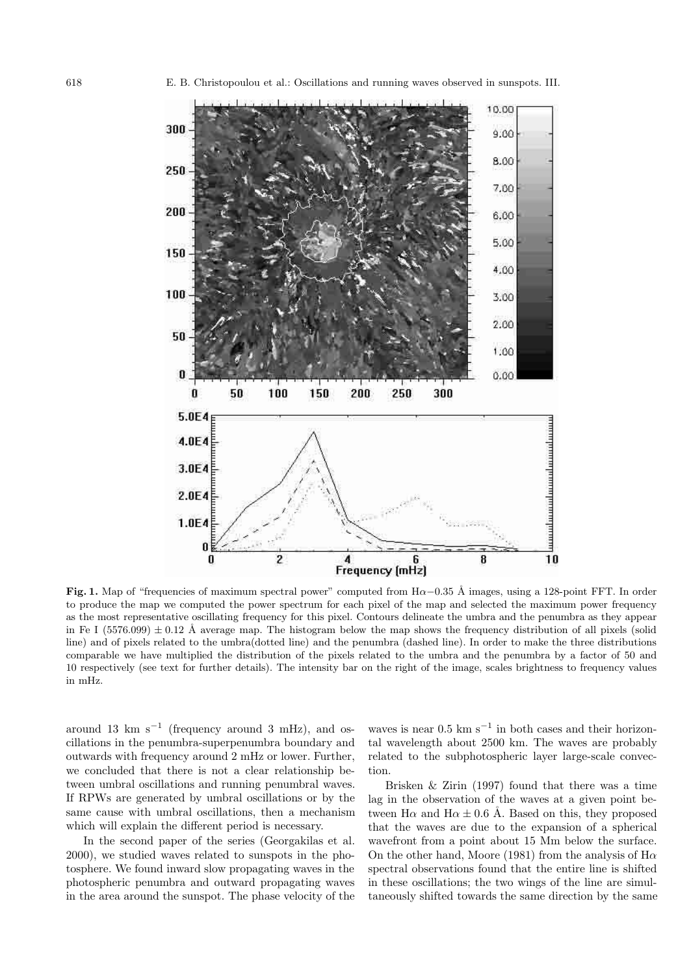

**Fig. 1.** Map of "frequencies of maximum spectral power" computed from  $H\alpha$ –0.35 Å images, using a 128-point FFT. In order to produce the map we computed the power spectrum for each pixel of the map and selected the maximum power frequency as the most representative oscillating frequency for this pixel. Contours delineate the umbra and the penumbra as they appear in Fe I (5576.099)  $\pm$  0.12 Å average map. The histogram below the map shows the frequency distribution of all pixels (solid line) and of pixels related to the umbra(dotted line) and the penumbra (dashed line). In order to make the three distributions comparable we have multiplied the distribution of the pixels related to the umbra and the penumbra by a factor of 50 and 10 respectively (see text for further details). The intensity bar on the right of the image, scales brightness to frequency values in mHz.

around 13 km s<sup> $-1$ </sup> (frequency around 3 mHz), and oscillations in the penumbra-superpenumbra boundary and outwards with frequency around 2 mHz or lower. Further, we concluded that there is not a clear relationship between umbral oscillations and running penumbral waves. If RPWs are generated by umbral oscillations or by the same cause with umbral oscillations, then a mechanism which will explain the different period is necessary.

In the second paper of the series (Georgakilas et al. 2000), we studied waves related to sunspots in the photosphere. We found inward slow propagating waves in the photospheric penumbra and outward propagating waves in the area around the sunspot. The phase velocity of the waves is near  $0.5 \text{ km s}^{-1}$  in both cases and their horizontal wavelength about 2500 km. The waves are probably related to the subphotospheric layer large-scale convection.

Brisken & Zirin (1997) found that there was a time lag in the observation of the waves at a given point between H $\alpha$  and H $\alpha \pm 0.6$  Å. Based on this, they proposed that the waves are due to the expansion of a spherical wavefront from a point about 15 Mm below the surface. On the other hand, Moore (1981) from the analysis of  $H\alpha$ spectral observations found that the entire line is shifted in these oscillations; the two wings of the line are simultaneously shifted towards the same direction by the same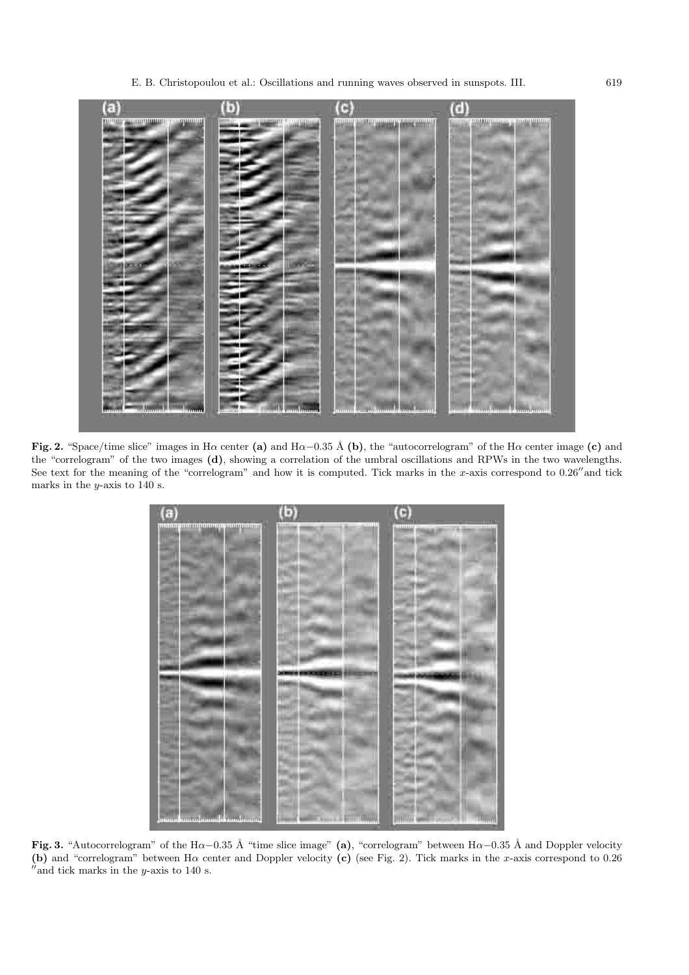

**Fig. 2.** "Space/time slice" images in H<sup>α</sup> center **(a)** and Hα−0.<sup>35</sup> ˚A **(b)**, the "autocorrelogram" of the H<sup>α</sup> center image **(c)** and the "correlogram" of the two images **(d)**, showing a correlation of the umbral oscillations and RPWs in the two wavelengths. See text for the meaning of the "correlogram" and how it is computed. Tick marks in the x-axis correspond to  $0.26''$  and tick marks in the  $y$ -axis to 140 s.



Fig. 3. "Autocorrelogram" of the Hα−0.35 Å "time slice image" (a), "correlogram" between Hα−0.35 Å and Doppler velocity **(b)** and "correlogram" between Hα center and Doppler velocity **(c)** (see Fig. 2). Tick marks in the x-axis correspond to 0.26  $\mu$ and tick marks in the y-axis to 140 s.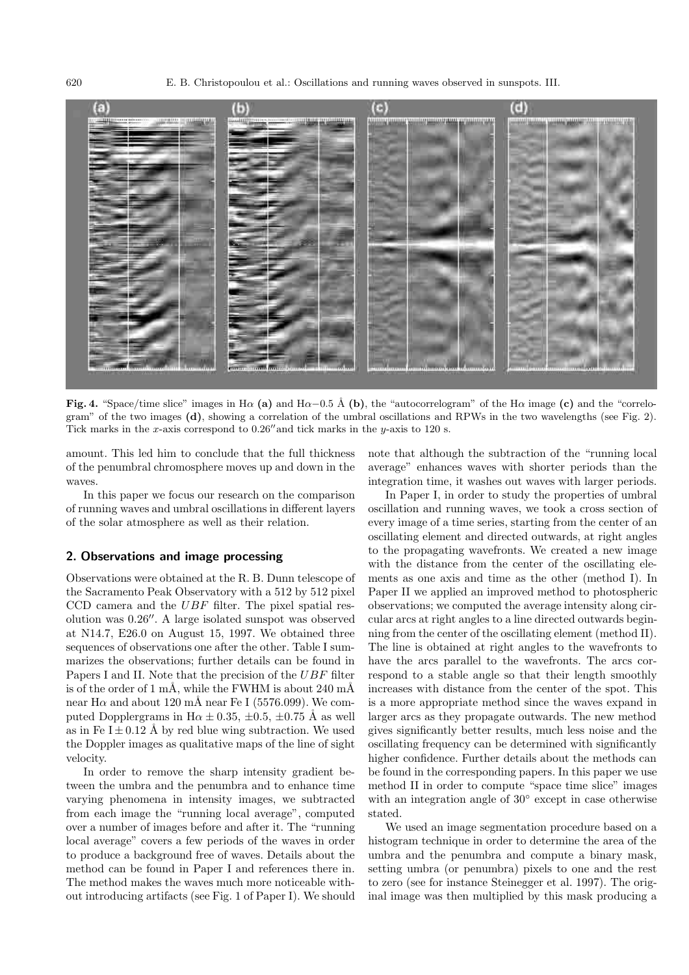

**Fig. 4.** "Space/time slice" images in H $\alpha$  (a) and H $\alpha$ −0.5 Å (b), the "autocorrelogram" of the H $\alpha$  image (c) and the "correlogram" of the two images **(d)**, showing a correlation of the umbral oscillations and RPWs in the two wavelengths (see Fig. 2). Tick marks in the x-axis correspond to  $0.26$ <sup>"</sup> and tick marks in the y-axis to 120 s.

amount. This led him to conclude that the full thickness of the penumbral chromosphere moves up and down in the waves.

In this paper we focus our research on the comparison of running waves and umbral oscillations in different layers of the solar atmosphere as well as their relation.

#### **2. Observations and image processing**

Observations were obtained at the R. B. Dunn telescope of the Sacramento Peak Observatory with a 512 by 512 pixel CCD camera and the  $UBF$  filter. The pixel spatial resolution was  $0.26''$ . A large isolated sunspot was observed at N14.7, E26.0 on August 15, 1997. We obtained three sequences of observations one after the other. Table I summarizes the observations; further details can be found in Papers I and II. Note that the precision of the UBF filter is of the order of 1 mÅ, while the FWHM is about 240 mÅ near H $\alpha$  and about 120 mÅ near Fe I (5576.099). We computed Dopplergrams in H $\alpha \pm 0.35, \pm 0.5, \pm 0.75$  Å as well as in Fe  $I \pm 0.12$  Å by red blue wing subtraction. We used the Doppler images as qualitative maps of the line of sight velocity.

In order to remove the sharp intensity gradient between the umbra and the penumbra and to enhance time varying phenomena in intensity images, we subtracted from each image the "running local average", computed over a number of images before and after it. The "running local average" covers a few periods of the waves in order to produce a background free of waves. Details about the method can be found in Paper I and references there in. The method makes the waves much more noticeable without introducing artifacts (see Fig. 1 of Paper I). We should note that although the subtraction of the "running local average" enhances waves with shorter periods than the integration time, it washes out waves with larger periods.

In Paper I, in order to study the properties of umbral oscillation and running waves, we took a cross section of every image of a time series, starting from the center of an oscillating element and directed outwards, at right angles to the propagating wavefronts. We created a new image with the distance from the center of the oscillating elements as one axis and time as the other (method I). In Paper II we applied an improved method to photospheric observations; we computed the average intensity along circular arcs at right angles to a line directed outwards beginning from the center of the oscillating element (method II). The line is obtained at right angles to the wavefronts to have the arcs parallel to the wavefronts. The arcs correspond to a stable angle so that their length smoothly increases with distance from the center of the spot. This is a more appropriate method since the waves expand in larger arcs as they propagate outwards. The new method gives significantly better results, much less noise and the oscillating frequency can be determined with significantly higher confidence. Further details about the methods can be found in the corresponding papers. In this paper we use method II in order to compute "space time slice" images with an integration angle of 30◦ except in case otherwise stated.

We used an image segmentation procedure based on a histogram technique in order to determine the area of the umbra and the penumbra and compute a binary mask, setting umbra (or penumbra) pixels to one and the rest to zero (see for instance Steinegger et al. 1997). The original image was then multiplied by this mask producing a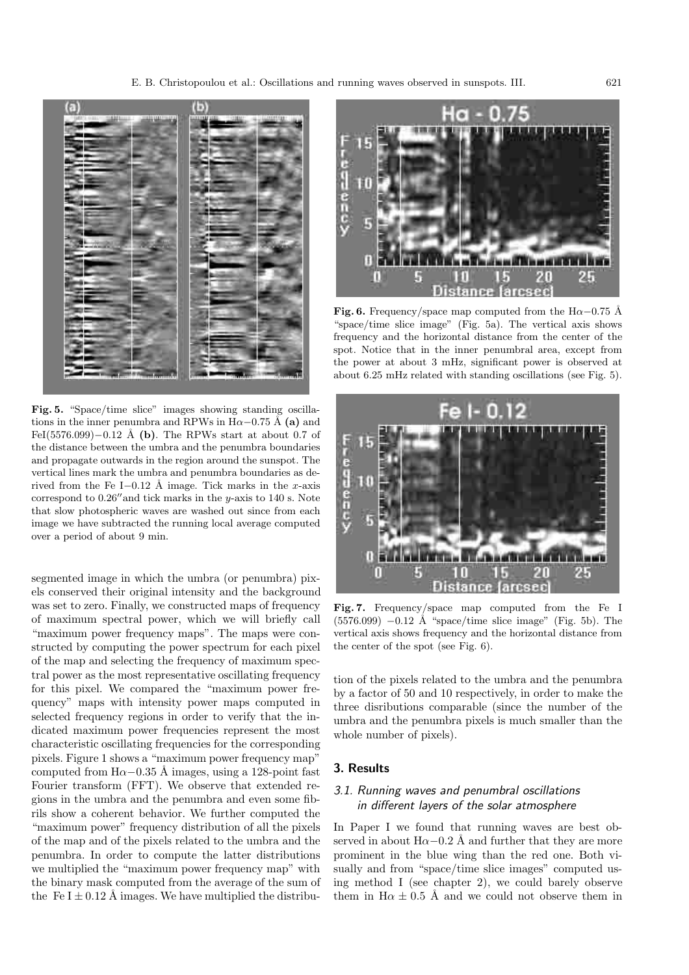

**Fig. 5.** "Space/time slice" images showing standing oscillations in the inner penumbra and RPWs in  $H\alpha$ –0.75 Å (a) and FeI(5576.099)−0.12 Å (**b**). The RPWs start at about 0.7 of the distance between the umbra and the penumbra boundaries and propagate outwards in the region around the sunspot. The vertical lines mark the umbra and penumbra boundaries as derived from the Fe I–0.12 Å image. Tick marks in the x-axis correspond to  $0.26''$  and tick marks in the y-axis to 140 s. Note that slow photospheric waves are washed out since from each image we have subtracted the running local average computed over a period of about 9 min.

segmented image in which the umbra (or penumbra) pixels conserved their original intensity and the background was set to zero. Finally, we constructed maps of frequency of maximum spectral power, which we will briefly call "maximum power frequency maps". The maps were constructed by computing the power spectrum for each pixel of the map and selecting the frequency of maximum spectral power as the most representative oscillating frequency for this pixel. We compared the "maximum power frequency" maps with intensity power maps computed in selected frequency regions in order to verify that the indicated maximum power frequencies represent the most characteristic oscillating frequencies for the corresponding pixels. Figure 1 shows a "maximum power frequency map" computed from  $H\alpha-0.35$  Å images, using a 128-point fast Fourier transform (FFT). We observe that extended regions in the umbra and the penumbra and even some fibrils show a coherent behavior. We further computed the "maximum power" frequency distribution of all the pixels of the map and of the pixels related to the umbra and the penumbra. In order to compute the latter distributions we multiplied the "maximum power frequency map" with the binary mask computed from the average of the sum of the Fe I  $\pm$  0.12 Å images. We have multiplied the distribu-



**Fig. 6.** Frequency/space map computed from the H $\alpha$ –0.75 Å "space/time slice image" (Fig. 5a). The vertical axis shows frequency and the horizontal distance from the center of the spot. Notice that in the inner penumbral area, except from the power at about 3 mHz, significant power is observed at about 6.25 mHz related with standing oscillations (see Fig. 5).



**Fig. 7.** Frequency/space map computed from the Fe I  $(5576.099)$   $-0.12$  Å "space/time slice image" (Fig. 5b). The vertical axis shows frequency and the horizontal distance from the center of the spot (see Fig. 6).

tion of the pixels related to the umbra and the penumbra by a factor of 50 and 10 respectively, in order to make the three disributions comparable (since the number of the umbra and the penumbra pixels is much smaller than the whole number of pixels).

## **3. Results**

## 3.1. Running waves and penumbral oscillations in different layers of the solar atmosphere

In Paper I we found that running waves are best observed in about  $H\alpha-0.2$  Å and further that they are more prominent in the blue wing than the red one. Both visually and from "space/time slice images" computed using method I (see chapter 2), we could barely observe them in  $H\alpha \pm 0.5$  Å and we could not observe them in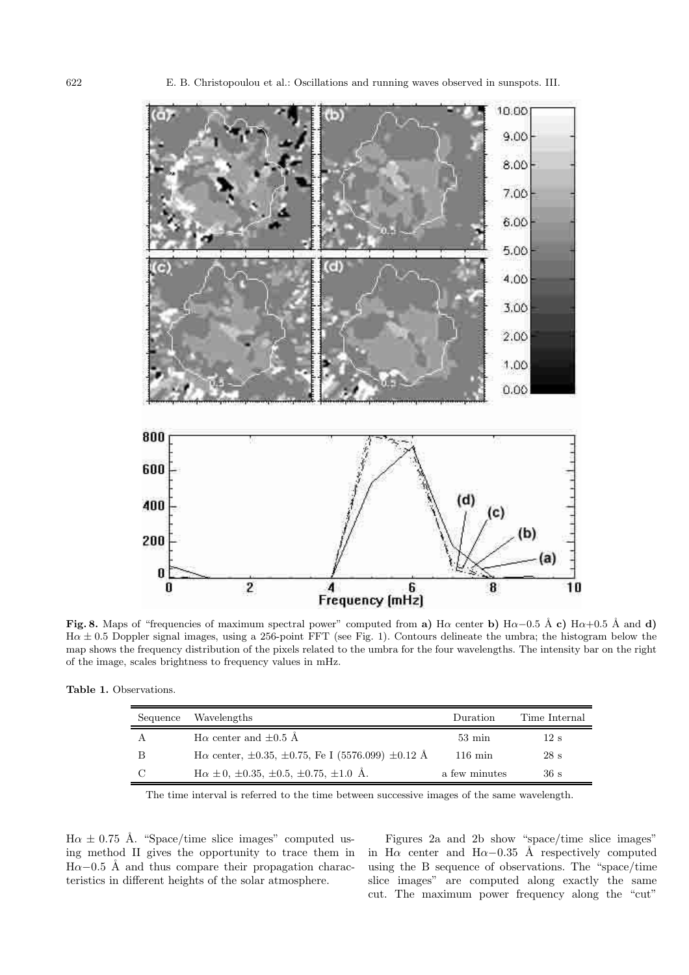

**Fig. 8.** Maps of "frequencies of maximum spectral power" computed from **a)** H $\alpha$  center **b**) H $\alpha$ −0.5 Å **c**) H $\alpha$ +0.5 Å and **d**)  $H\alpha \pm 0.5$  Doppler signal images, using a 256-point FFT (see Fig. 1). Contours delineate the umbra; the histogram below the map shows the frequency distribution of the pixels related to the umbra for the four wavelengths. The intensity bar on the right of the image, scales brightness to frequency values in mHz.

| Sequence | Wavelengths                                                              | Duration          | Time Internal |
|----------|--------------------------------------------------------------------------|-------------------|---------------|
|          | $H\alpha$ center and $\pm 0.5$ Å                                         | $53 \text{ min}$  | 12 s          |
|          | $H\alpha$ center, $\pm 0.35$ , $\pm 0.75$ , Fe I (5576.099) $\pm 0.12$ Å | $116 \text{ min}$ | 28s           |
|          | $H\alpha \pm 0, \pm 0.35, \pm 0.5, \pm 0.75, \pm 1.0$ Å.                 | a few minutes     | 36 s          |

The time interval is referred to the time between successive images of the same wavelength.

 $H\alpha \pm 0.75$  Å. "Space/time slice images" computed using method II gives the opportunity to trace them in  $H\alpha-0.5$  Å and thus compare their propagation characteristics in different heights of the solar atmosphere.

Figures 2a and 2b show "space/time slice images" in H $\alpha$  center and H $\alpha$ −0.35 Å respectively computed using the B sequence of observations. The "space/time slice images" are computed along exactly the same cut. The maximum power frequency along the "cut"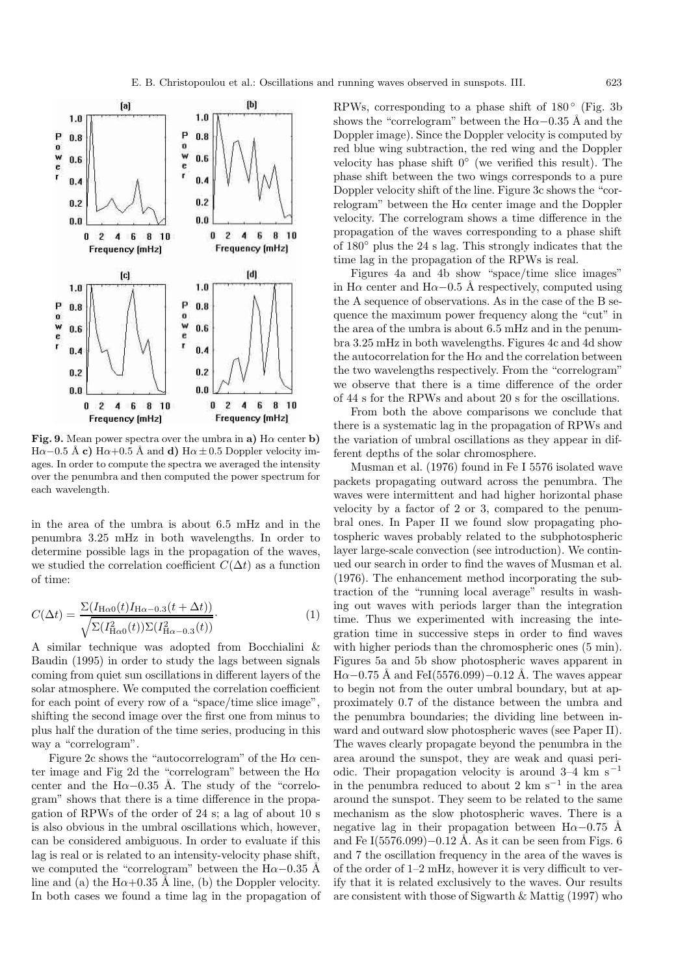

**Fig. 9.** Mean power spectra over the umbra in **a**)  $H\alpha$  center **b**)  $H\alpha-0.5 \text{ Å}$  **c**)  $H\alpha+0.5 \text{ Å}$  and **d**)  $H\alpha \pm 0.5$  Doppler velocity images. In order to compute the spectra we averaged the intensity over the penumbra and then computed the power spectrum for each wavelength.

in the area of the umbra is about 6.5 mHz and in the penumbra 3.25 mHz in both wavelengths. In order to determine possible lags in the propagation of the waves, we studied the correlation coefficient  $C(\Delta t)$  as a function of time:

$$
C(\Delta t) = \frac{\Sigma(I_{\text{H}\alpha 0}(t)I_{\text{H}\alpha - 0.3}(t + \Delta t))}{\sqrt{\Sigma(I_{\text{H}\alpha 0}^2(t))\Sigma(I_{\text{H}\alpha - 0.3}^2(t))}}.
$$
(1)

A similar technique was adopted from Bocchialini & Baudin (1995) in order to study the lags between signals coming from quiet sun oscillations in different layers of the solar atmosphere. We computed the correlation coefficient for each point of every row of a "space/time slice image", shifting the second image over the first one from minus to plus half the duration of the time series, producing in this way a "correlogram".

Figure 2c shows the "autocorrelogram" of the  $H\alpha$  center image and Fig 2d the "correlogram" between the  $H\alpha$ center and the H $\alpha$ −0.35 Å. The study of the "correlogram" shows that there is a time difference in the propagation of RPWs of the order of 24 s; a lag of about 10 s is also obvious in the umbral oscillations which, however, can be considered ambiguous. In order to evaluate if this lag is real or is related to an intensity-velocity phase shift, we computed the "correlogram" between the H $\alpha$ –0.35 Å line and (a) the H $\alpha$ +0.35 Å line, (b) the Doppler velocity. In both cases we found a time lag in the propagation of RPWs, corresponding to a phase shift of  $180^\circ$  (Fig. 3b) shows the "correlogram" between the H $\alpha$ –0.35 Å and the Doppler image). Since the Doppler velocity is computed by red blue wing subtraction, the red wing and the Doppler velocity has phase shift 0◦ (we verified this result). The phase shift between the two wings corresponds to a pure Doppler velocity shift of the line. Figure 3c shows the "correlogram" between the  $H\alpha$  center image and the Doppler velocity. The correlogram shows a time difference in the propagation of the waves corresponding to a phase shift of 180◦ plus the 24 s lag. This strongly indicates that the time lag in the propagation of the RPWs is real.

Figures 4a and 4b show "space/time slice images" in H $\alpha$  center and H $\alpha$ −0.5 Å respectively, computed using the A sequence of observations. As in the case of the B sequence the maximum power frequency along the "cut" in the area of the umbra is about 6.5 mHz and in the penumbra 3.25 mHz in both wavelengths. Figures 4c and 4d show the autocorrelation for the  $H\alpha$  and the correlation between the two wavelengths respectively. From the "correlogram" we observe that there is a time difference of the order of 44 s for the RPWs and about 20 s for the oscillations.

From both the above comparisons we conclude that there is a systematic lag in the propagation of RPWs and the variation of umbral oscillations as they appear in different depths of the solar chromosphere.

Musman et al. (1976) found in Fe I 5576 isolated wave packets propagating outward across the penumbra. The waves were intermittent and had higher horizontal phase velocity by a factor of 2 or 3, compared to the penumbral ones. In Paper II we found slow propagating photospheric waves probably related to the subphotospheric layer large-scale convection (see introduction). We continued our search in order to find the waves of Musman et al. (1976). The enhancement method incorporating the subtraction of the "running local average" results in washing out waves with periods larger than the integration time. Thus we experimented with increasing the integration time in successive steps in order to find waves with higher periods than the chromospheric ones  $(5 \text{ min})$ . Figures 5a and 5b show photospheric waves apparent in  $Ha-0.75$  Å and FeI(5576.099)–0.12 Å. The waves appear to begin not from the outer umbral boundary, but at approximately 0.7 of the distance between the umbra and the penumbra boundaries; the dividing line between inward and outward slow photospheric waves (see Paper II). The waves clearly propagate beyond the penumbra in the area around the sunspot, they are weak and quasi periodic. Their propagation velocity is around  $3-4$  km s<sup>-1</sup> in the penumbra reduced to about 2 km s<sup> $-1$ </sup> in the area around the sunspot. They seem to be related to the same mechanism as the slow photospheric waves. There is a negative lag in their propagation between H $\alpha$ −0.75 Å and Fe I(5576.099)–0.12 Å. As it can be seen from Figs. 6 and 7 the oscillation frequency in the area of the waves is of the order of 1–2 mHz, however it is very difficult to verify that it is related exclusively to the waves. Our results are consistent with those of Sigwarth & Mattig (1997) who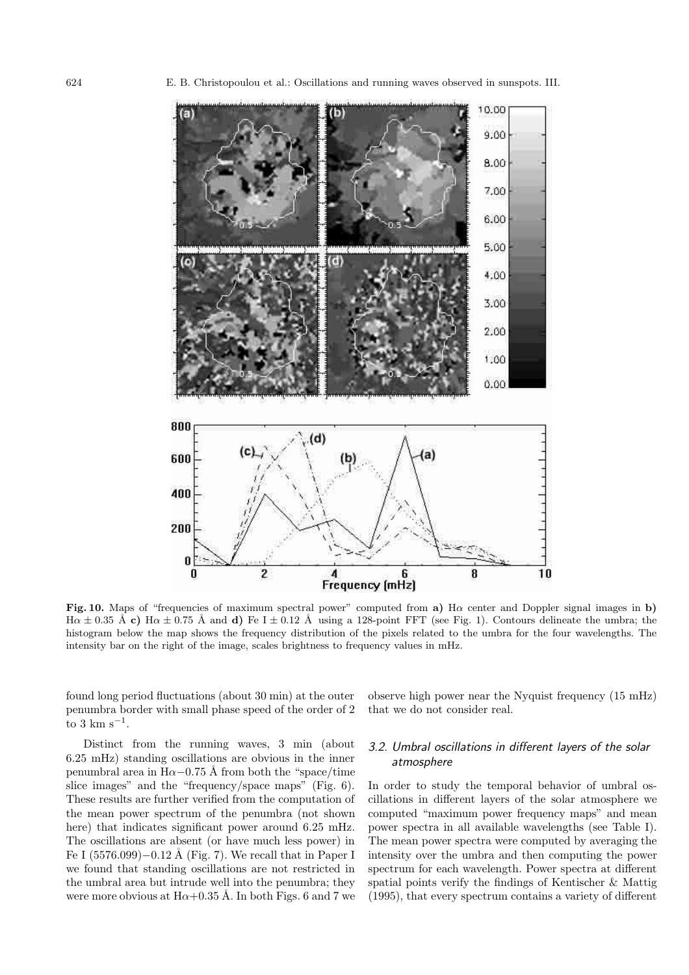

**Fig. 10.** Maps of "frequencies of maximum spectral power" computed from **a)** Hα center and Doppler signal images in **b)**  $H\alpha \pm 0.35$  Å **c)**  $H\alpha \pm 0.75$  Å and **d)** Fe I  $\pm$  0.12 Å using a 128-point FFT (see Fig. 1). Contours delineate the umbra; the histogram below the map shows the frequency distribution of the pixels related to the umbra for the four wavelengths. The intensity bar on the right of the image, scales brightness to frequency values in mHz.

found long period fluctuations (about 30 min) at the outer penumbra border with small phase speed of the order of 2 to 3 km s<sup> $-1$ </sup>.

Distinct from the running waves, 3 min (about 6.25 mHz) standing oscillations are obvious in the inner penumbral area in H $\alpha$ −0.75 Å from both the "space/time" slice images" and the "frequency/space maps" (Fig. 6). These results are further verified from the computation of the mean power spectrum of the penumbra (not shown here) that indicates significant power around 6.25 mHz. The oscillations are absent (or have much less power) in Fe I  $(5576.099)-0.12$  Å (Fig. 7). We recall that in Paper I we found that standing oscillations are not restricted in the umbral area but intrude well into the penumbra; they were more obvious at  $H\alpha+0.35$  Å. In both Figs. 6 and 7 we observe high power near the Nyquist frequency (15 mHz) that we do not consider real.

### 3.2. Umbral oscillations in different layers of the solar atmosphere

In order to study the temporal behavior of umbral oscillations in different layers of the solar atmosphere we computed "maximum power frequency maps" and mean power spectra in all available wavelengths (see Table I). The mean power spectra were computed by averaging the intensity over the umbra and then computing the power spectrum for each wavelength. Power spectra at different spatial points verify the findings of Kentischer & Mattig (1995), that every spectrum contains a variety of different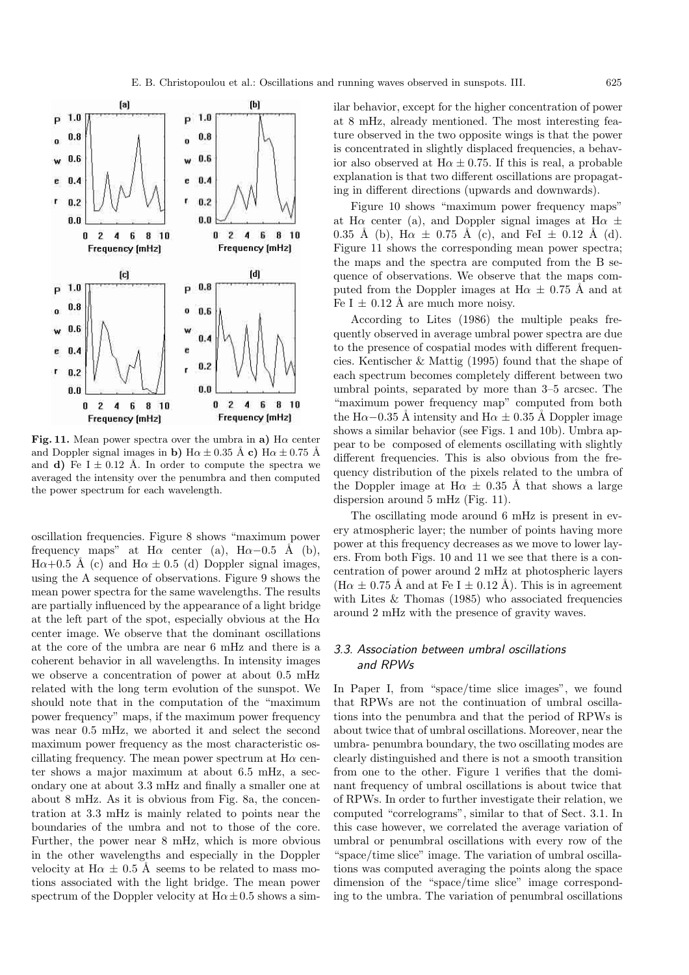

**Fig. 11.** Mean power spectra over the umbra in **a**)  $H\alpha$  center and Doppler signal images in **b**)  $H\alpha \pm 0.35 \text{ Å}$  **c**)  $H\alpha \pm 0.75 \text{ Å}$ and **d**) Fe  $I \pm 0.12$  Å. In order to compute the spectra we averaged the intensity over the penumbra and then computed the power spectrum for each wavelength.

oscillation frequencies. Figure 8 shows "maximum power frequency maps" at H $\alpha$  center (a), H $\alpha$ -0.5 Å (b),  $H\alpha+0.5$  Å (c) and  $H\alpha \pm 0.5$  (d) Doppler signal images, using the A sequence of observations. Figure 9 shows the mean power spectra for the same wavelengths. The results are partially influenced by the appearance of a light bridge at the left part of the spot, especially obvious at the  $H\alpha$ center image. We observe that the dominant oscillations at the core of the umbra are near 6 mHz and there is a coherent behavior in all wavelengths. In intensity images we observe a concentration of power at about 0.5 mHz related with the long term evolution of the sunspot. We should note that in the computation of the "maximum power frequency" maps, if the maximum power frequency was near 0.5 mHz, we aborted it and select the second maximum power frequency as the most characteristic oscillating frequency. The mean power spectrum at  $H\alpha$  center shows a major maximum at about 6.5 mHz, a secondary one at about 3.3 mHz and finally a smaller one at about 8 mHz. As it is obvious from Fig. 8a, the concentration at 3.3 mHz is mainly related to points near the boundaries of the umbra and not to those of the core. Further, the power near 8 mHz, which is more obvious in the other wavelengths and especially in the Doppler velocity at  $H\alpha \pm 0.5$  Å seems to be related to mass motions associated with the light bridge. The mean power spectrum of the Doppler velocity at  $H\alpha \pm 0.5$  shows a similar behavior, except for the higher concentration of power at 8 mHz, already mentioned. The most interesting feature observed in the two opposite wings is that the power is concentrated in slightly displaced frequencies, a behavior also observed at  $H\alpha \pm 0.75$ . If this is real, a probable explanation is that two different oscillations are propagating in different directions (upwards and downwards).

Figure 10 shows "maximum power frequency maps" at H $\alpha$  center (a), and Doppler signal images at H $\alpha \pm$ 0.35 Å (b), H $\alpha \pm 0.75$  Å (c), and FeI  $\pm$  0.12 Å (d). Figure 11 shows the corresponding mean power spectra; the maps and the spectra are computed from the B sequence of observations. We observe that the maps computed from the Doppler images at  $H\alpha \pm 0.75$  Å and at Fe I  $\pm$  0.12 Å are much more noisy.

According to Lites (1986) the multiple peaks frequently observed in average umbral power spectra are due to the presence of cospatial modes with different frequencies. Kentischer & Mattig (1995) found that the shape of each spectrum becomes completely different between two umbral points, separated by more than 3–5 arcsec. The "maximum power frequency map" computed from both the H $\alpha$ −0.35 Å intensity and H $\alpha \pm 0.35$  Å Doppler image shows a similar behavior (see Figs. 1 and 10b). Umbra appear to be composed of elements oscillating with slightly different frequencies. This is also obvious from the frequency distribution of the pixels related to the umbra of the Doppler image at  $H\alpha \pm 0.35$  Å that shows a large dispersion around 5 mHz (Fig. 11).

The oscillating mode around 6 mHz is present in every atmospheric layer; the number of points having more power at this frequency decreases as we move to lower layers. From both Figs. 10 and 11 we see that there is a concentration of power around 2 mHz at photospheric layers  $(H\alpha \pm 0.75 \text{ Å}$  and at Fe I  $\pm$  0.12 Å). This is in agreement with Lites & Thomas (1985) who associated frequencies around 2 mHz with the presence of gravity waves.

### 3.3. Association between umbral oscillations and RPWs

In Paper I, from "space/time slice images", we found that RPWs are not the continuation of umbral oscillations into the penumbra and that the period of RPWs is about twice that of umbral oscillations. Moreover, near the umbra- penumbra boundary, the two oscillating modes are clearly distinguished and there is not a smooth transition from one to the other. Figure 1 verifies that the dominant frequency of umbral oscillations is about twice that of RPWs. In order to further investigate their relation, we computed "correlograms", similar to that of Sect. 3.1. In this case however, we correlated the average variation of umbral or penumbral oscillations with every row of the "space/time slice" image. The variation of umbral oscillations was computed averaging the points along the space dimension of the "space/time slice" image corresponding to the umbra. The variation of penumbral oscillations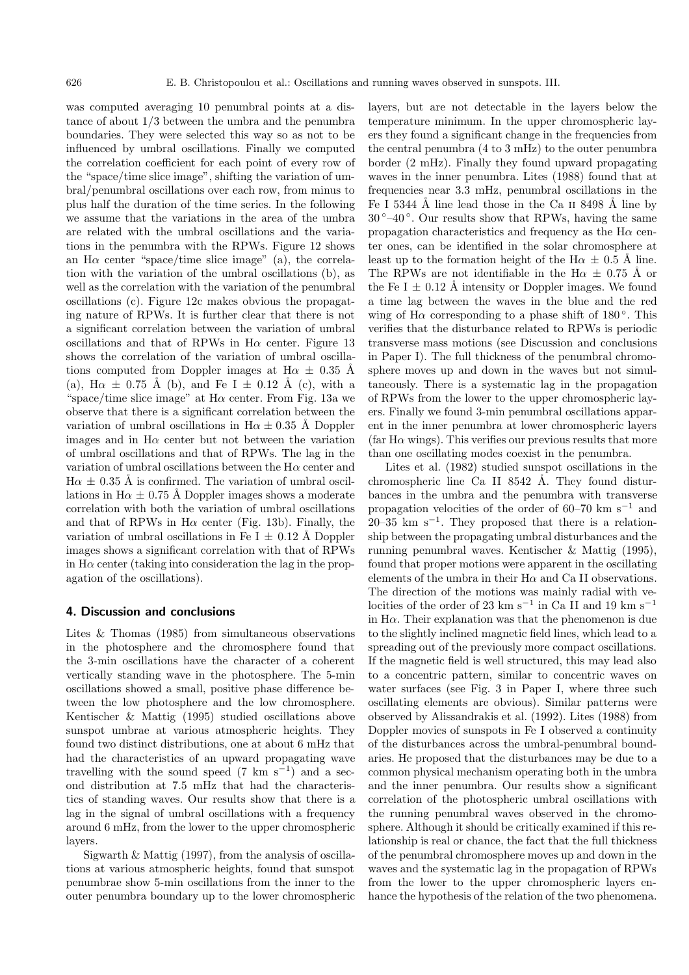was computed averaging 10 penumbral points at a distance of about 1/3 between the umbra and the penumbra boundaries. They were selected this way so as not to be influenced by umbral oscillations. Finally we computed the correlation coefficient for each point of every row of the "space/time slice image", shifting the variation of umbral/penumbral oscillations over each row, from minus to plus half the duration of the time series. In the following we assume that the variations in the area of the umbra are related with the umbral oscillations and the variations in the penumbra with the RPWs. Figure 12 shows an H $\alpha$  center "space/time slice image" (a), the correlation with the variation of the umbral oscillations (b), as well as the correlation with the variation of the penumbral oscillations (c). Figure 12c makes obvious the propagating nature of RPWs. It is further clear that there is not a significant correlation between the variation of umbral oscillations and that of RPWs in  $H\alpha$  center. Figure 13 shows the correlation of the variation of umbral oscillations computed from Doppler images at H $\alpha \pm 0.35$  Å (a), H $\alpha \pm 0.75$  Å (b), and Fe I  $\pm$  0.12 Å (c), with a "space/time slice image" at  $H\alpha$  center. From Fig. 13a we observe that there is a significant correlation between the variation of umbral oscillations in H $\alpha \pm 0.35$  Å Doppler images and in  $H\alpha$  center but not between the variation of umbral oscillations and that of RPWs. The lag in the variation of umbral oscillations between the  $H\alpha$  center and  $H\alpha \pm 0.35$  Å is confirmed. The variation of umbral oscillations in H $\alpha \pm 0.75$  Å Doppler images shows a moderate correlation with both the variation of umbral oscillations and that of RPWs in  $H\alpha$  center (Fig. 13b). Finally, the variation of umbral oscillations in Fe I  $\pm$  0.12 Å Doppler images shows a significant correlation with that of RPWs in  $H\alpha$  center (taking into consideration the lag in the propagation of the oscillations).

#### **4. Discussion and conclusions**

Lites & Thomas (1985) from simultaneous observations in the photosphere and the chromosphere found that the 3-min oscillations have the character of a coherent vertically standing wave in the photosphere. The 5-min oscillations showed a small, positive phase difference between the low photosphere and the low chromosphere. Kentischer & Mattig (1995) studied oscillations above sunspot umbrae at various atmospheric heights. They found two distinct distributions, one at about 6 mHz that had the characteristics of an upward propagating wave travelling with the sound speed (7 km s<sup>-1</sup>) and a second distribution at 7.5 mHz that had the characteristics of standing waves. Our results show that there is a lag in the signal of umbral oscillations with a frequency around 6 mHz, from the lower to the upper chromospheric layers.

Sigwarth & Mattig (1997), from the analysis of oscillations at various atmospheric heights, found that sunspot penumbrae show 5-min oscillations from the inner to the outer penumbra boundary up to the lower chromospheric layers, but are not detectable in the layers below the temperature minimum. In the upper chromospheric layers they found a significant change in the frequencies from the central penumbra (4 to 3 mHz) to the outer penumbra border (2 mHz). Finally they found upward propagating waves in the inner penumbra. Lites (1988) found that at frequencies near 3.3 mHz, penumbral oscillations in the Fe I 5344 Å line lead those in the Ca  $\scriptstyle\rm II$  8498 Å line by  $30^{\circ}-40^{\circ}$ . Our results show that RPWs, having the same propagation characteristics and frequency as the  $H\alpha$  center ones, can be identified in the solar chromosphere at least up to the formation height of the H $\alpha \pm 0.5$  Å line. The RPWs are not identifiable in the H $\alpha \pm 0.75$  Å or the Fe I  $\pm$  0.12 Å intensity or Doppler images. We found a time lag between the waves in the blue and the red wing of H $\alpha$  corresponding to a phase shift of 180 $^{\circ}$ . This verifies that the disturbance related to RPWs is periodic transverse mass motions (see Discussion and conclusions in Paper I). The full thickness of the penumbral chromosphere moves up and down in the waves but not simultaneously. There is a systematic lag in the propagation of RPWs from the lower to the upper chromospheric layers. Finally we found 3-min penumbral oscillations apparent in the inner penumbra at lower chromospheric layers (far H $\alpha$  wings). This verifies our previous results that more than one oscillating modes coexist in the penumbra.

Lites et al. (1982) studied sunspot oscillations in the chromospheric line Ca II 8542 Å. They found disturbances in the umbra and the penumbra with transverse propagation velocities of the order of 60–70 km s<sup> $-1$ </sup> and 20–35 km s<sup>-1</sup>. They proposed that there is a relationship between the propagating umbral disturbances and the running penumbral waves. Kentischer & Mattig (1995), found that proper motions were apparent in the oscillating elements of the umbra in their  $H\alpha$  and Ca II observations. The direction of the motions was mainly radial with velocities of the order of 23 km s<sup>−1</sup> in Ca II and 19 km s<sup>−1</sup> in  $H\alpha$ . Their explanation was that the phenomenon is due to the slightly inclined magnetic field lines, which lead to a spreading out of the previously more compact oscillations. If the magnetic field is well structured, this may lead also to a concentric pattern, similar to concentric waves on water surfaces (see Fig. 3 in Paper I, where three such oscillating elements are obvious). Similar patterns were observed by Alissandrakis et al. (1992). Lites (1988) from Doppler movies of sunspots in Fe I observed a continuity of the disturbances across the umbral-penumbral boundaries. He proposed that the disturbances may be due to a common physical mechanism operating both in the umbra and the inner penumbra. Our results show a significant correlation of the photospheric umbral oscillations with the running penumbral waves observed in the chromosphere. Although it should be critically examined if this relationship is real or chance, the fact that the full thickness of the penumbral chromosphere moves up and down in the waves and the systematic lag in the propagation of RPWs from the lower to the upper chromospheric layers enhance the hypothesis of the relation of the two phenomena.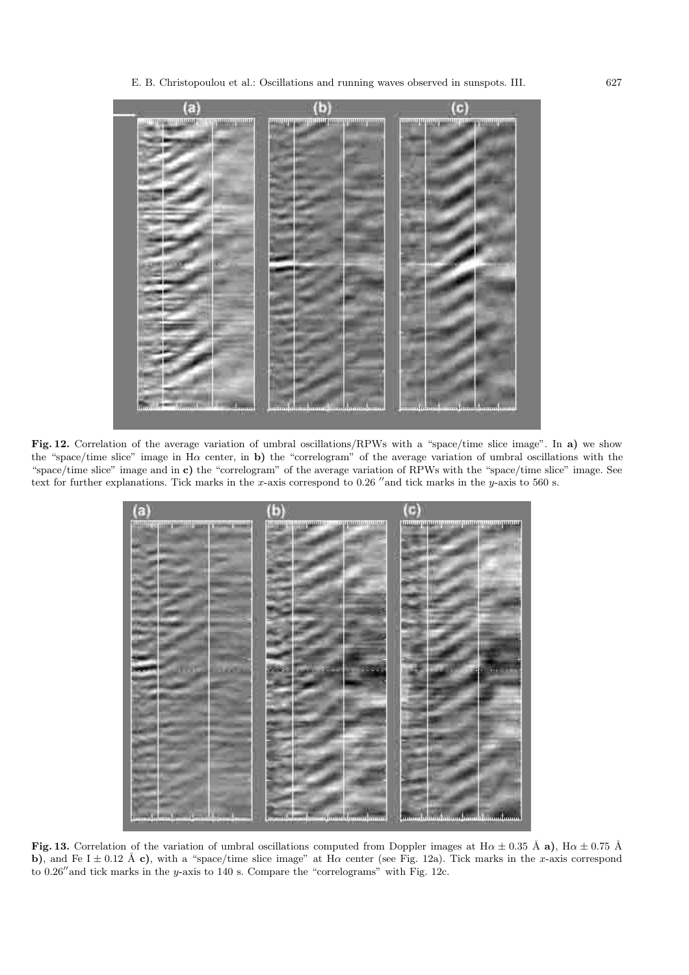

**Fig. 12.** Correlation of the average variation of umbral oscillations/RPWs with a "space/time slice image". In **a)** we show the "space/time slice" image in H $\alpha$  center, in **b**) the "correlogram" of the average variation of umbral oscillations with the "space/time slice" image and in **c)** the "correlogram" of the average variation of RPWs with the "space/time slice" image. See text for further explanations. Tick marks in the x-axis correspond to 0.26 "and tick marks in the y-axis to 560 s.



**Fig. 13.** Correlation of the variation of umbral oscillations computed from Doppler images at  $H\alpha \pm 0.35$  Å **a**),  $H\alpha \pm 0.75$  Å **b**), and Fe I  $\pm$  0.12 Å **c**), with a "space/time slice image" at H $\alpha$  center (see Fig. 12a). Tick marks in the x-axis correspond to 0.26" and tick marks in the y-axis to 140 s. Compare the "correlograms" with Fig. 12c.